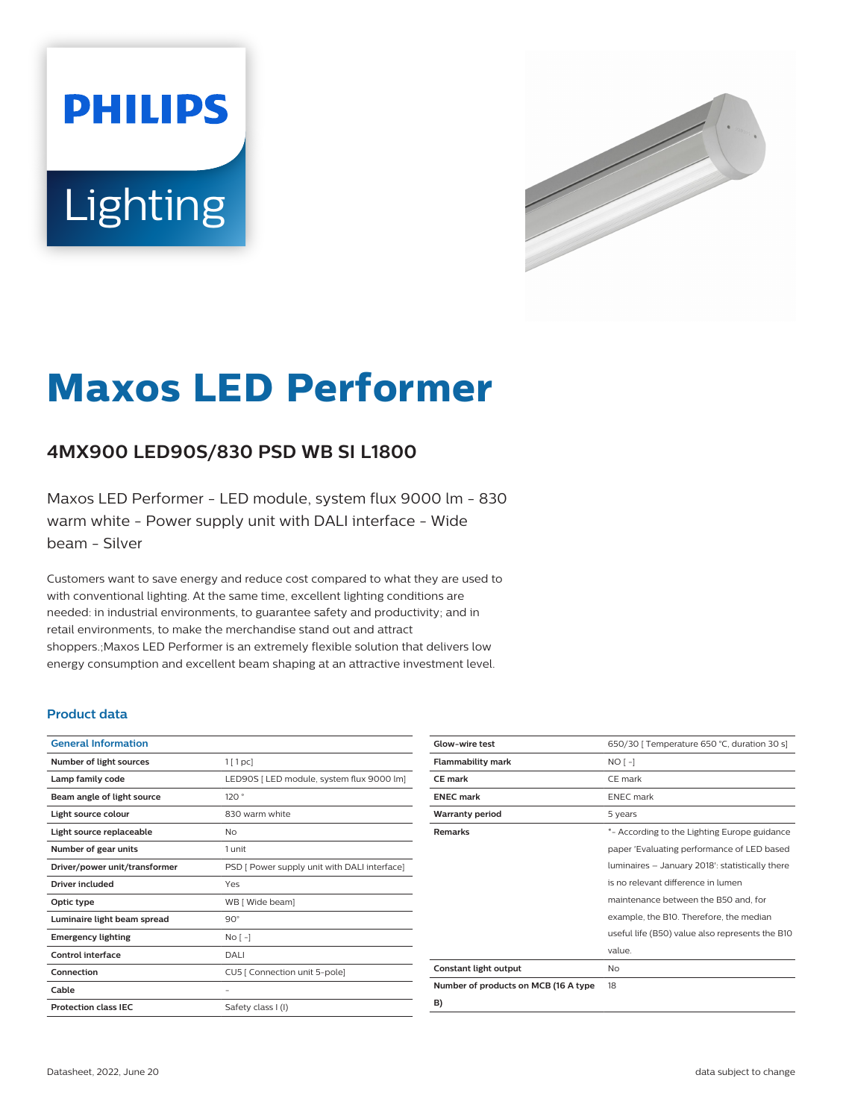# **PHILIPS** Lighting



# **Maxos LED Performer**

# **4MX900 LED90S/830 PSD WB SI L1800**

Maxos LED Performer - LED module, system flux 9000 lm - 830 warm white - Power supply unit with DALI interface - Wide beam - Silver

Customers want to save energy and reduce cost compared to what they are used to with conventional lighting. At the same time, excellent lighting conditions are needed: in industrial environments, to guarantee safety and productivity; and in retail environments, to make the merchandise stand out and attract shoppers.;Maxos LED Performer is an extremely flexible solution that delivers low energy consumption and excellent beam shaping at an attractive investment level.

#### **Product data**

| <b>General Information</b>    |                                              |
|-------------------------------|----------------------------------------------|
| Number of light sources       | $1$ [ 1 pc]                                  |
| Lamp family code              | LED90S [ LED module, system flux 9000 lm]    |
| Beam angle of light source    | 120°                                         |
| Light source colour           | 830 warm white                               |
| Light source replaceable      | <b>No</b>                                    |
| Number of gear units          | 1 unit                                       |
| Driver/power unit/transformer | PSD [ Power supply unit with DALI interface] |
| Driver included               | Yes                                          |
| Optic type                    | WB [ Wide beam]                              |
| Luminaire light beam spread   | $90^\circ$                                   |
| <b>Emergency lighting</b>     | $No[-]$                                      |
| Control interface             | DALI                                         |
| Connection                    | CU5 [ Connection unit 5-pole]                |
| Cable                         |                                              |
| <b>Protection class IEC</b>   | Safety class I (I)                           |
|                               |                                              |

| Glow-wire test                       | 650/30   Temperature 650 °C, duration 30 s]     |
|--------------------------------------|-------------------------------------------------|
| <b>Flammability mark</b>             | $NO[-]$                                         |
| <b>CE</b> mark                       | CE mark                                         |
| <b>ENEC</b> mark                     | <b>ENEC</b> mark                                |
| <b>Warranty period</b>               | 5 years                                         |
| <b>Remarks</b>                       | *- According to the Lighting Europe guidance    |
|                                      | paper 'Evaluating performance of LED based      |
|                                      | luminaires - January 2018': statistically there |
|                                      | is no relevant difference in lumen              |
|                                      | maintenance between the B50 and, for            |
|                                      | example, the B10. Therefore, the median         |
|                                      | useful life (B50) value also represents the B10 |
|                                      | value.                                          |
| Constant light output                | No                                              |
| Number of products on MCB (16 A type | 18                                              |
| B)                                   |                                                 |

Datasheet, 2022, June 20 data subject to change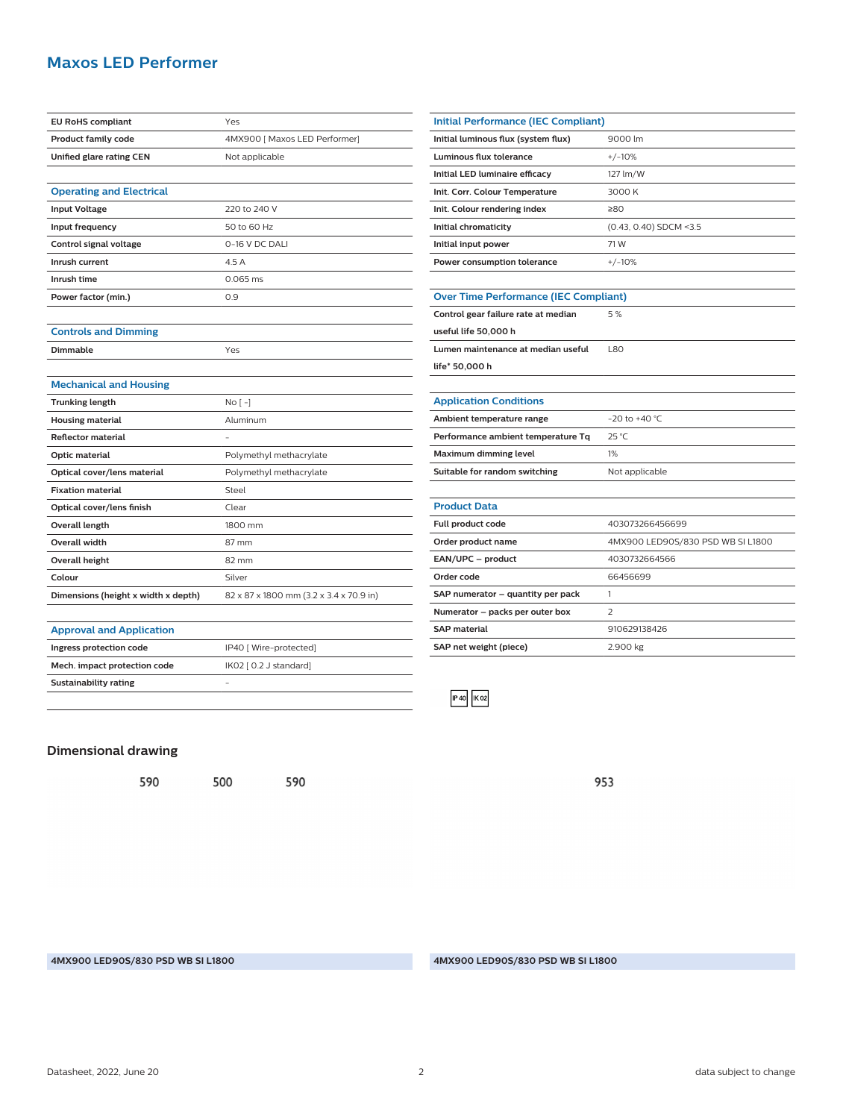## **Maxos LED Performer**

| <b>EU RoHS compliant</b>            | Yes                                     |
|-------------------------------------|-----------------------------------------|
| <b>Product family code</b>          | 4MX900 [ Maxos LED Performer]           |
| Unified glare rating CEN            | Not applicable                          |
|                                     |                                         |
| <b>Operating and Electrical</b>     |                                         |
| <b>Input Voltage</b>                | 220 to 240 V                            |
| Input frequency                     | 50 to 60 Hz                             |
| Control signal voltage              | 0-16 V DC DALI                          |
| Inrush current                      | 4.5A                                    |
| Inrush time                         | 0.065 ms                                |
| Power factor (min.)                 | 0.9                                     |
|                                     |                                         |
| <b>Controls and Dimming</b>         |                                         |
| <b>Dimmable</b>                     | Yes                                     |
|                                     |                                         |
| <b>Mechanical and Housing</b>       |                                         |
| <b>Trunking length</b>              | $No[-]$                                 |
| <b>Housing material</b>             | Aluminum                                |
| <b>Reflector material</b>           |                                         |
| Optic material                      | Polymethyl methacrylate                 |
| Optical cover/lens material         | Polymethyl methacrylate                 |
| <b>Fixation material</b>            | Steel                                   |
| Optical cover/lens finish           | Clear                                   |
| Overall length                      | 1800 mm                                 |
| <b>Overall width</b>                | 87 mm                                   |
| <b>Overall height</b>               | 82 mm                                   |
| Colour                              | Silver                                  |
| Dimensions (height x width x depth) | 82 x 87 x 1800 mm (3.2 x 3.4 x 70.9 in) |
|                                     |                                         |
| <b>Approval and Application</b>     |                                         |
| Ingress protection code             | IP40 [ Wire-protected]                  |

| <b>Initial Performance (IEC Compliant)</b>   |                                   |  |
|----------------------------------------------|-----------------------------------|--|
| Initial luminous flux (system flux)          | 9000 lm                           |  |
| Luminous flux tolerance                      | $+/-10%$                          |  |
| Initial LED luminaire efficacy               | 127 lm/W                          |  |
| Init. Corr. Colour Temperature               | 3000 K                            |  |
| Init. Colour rendering index                 | 280                               |  |
| Initial chromaticity                         | (0.43, 0.40) SDCM <3.5            |  |
| Initial input power                          | 71 W                              |  |
| Power consumption tolerance                  | $+/-10%$                          |  |
|                                              |                                   |  |
| <b>Over Time Performance (IEC Compliant)</b> |                                   |  |
| Control gear failure rate at median          | 5%                                |  |
| useful life 50,000 h                         |                                   |  |
| Lumen maintenance at median useful           | <b>L80</b>                        |  |
| life* 50,000 h                               |                                   |  |
|                                              |                                   |  |
| <b>Application Conditions</b>                |                                   |  |
| Ambient temperature range                    | $-20$ to $+40$ °C.                |  |
| Performance ambient temperature Tq           | 25 °C                             |  |
| <b>Maximum dimming level</b>                 | 1%                                |  |
| Suitable for random switching                | Not applicable                    |  |
|                                              |                                   |  |
| <b>Product Data</b>                          |                                   |  |
| Full product code                            | 403073266456699                   |  |
| Order product name                           | 4MX900 LED90S/830 PSD WB SI L1800 |  |
| EAN/UPC - product                            | 4030732664566                     |  |
| Order code                                   | 66456699                          |  |
| SAP numerator - quantity per pack            | 1                                 |  |
| Numerator - packs per outer box              | $\overline{2}$                    |  |
| <b>SAP</b> material                          | 910629138426                      |  |
| SAP net weight (piece)                       | 2.900 kg                          |  |
|                                              |                                   |  |



953

**Mech. impact protection code** IK02 [ 0.2 J standard]

500

590

**Sustainability rating** -

590

**Dimensional drawing**